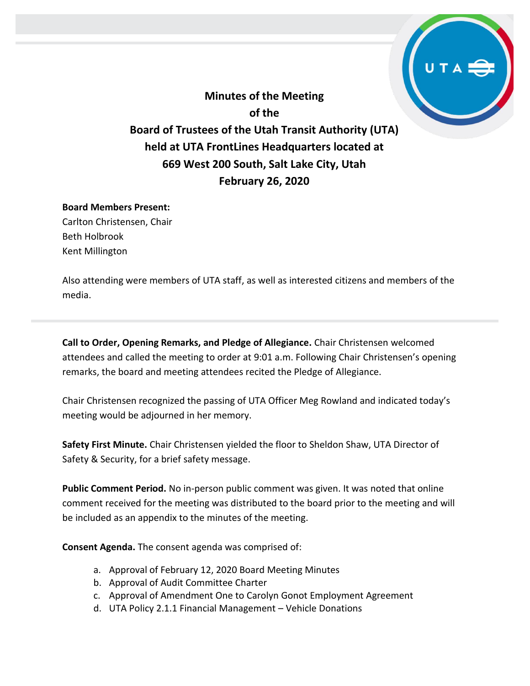**Minutes of the Meeting of the Board of Trustees of the Utah Transit Authority (UTA) held at UTA FrontLines Headquarters located at 669 West 200 South, Salt Lake City, Utah February 26, 2020**

#### **Board Members Present:**

Carlton Christensen, Chair Beth Holbrook Kent Millington

Also attending were members of UTA staff, as well as interested citizens and members of the media.

**Call to Order, Opening Remarks, and Pledge of Allegiance.** Chair Christensen welcomed attendees and called the meeting to order at 9:01 a.m. Following Chair Christensen's opening remarks, the board and meeting attendees recited the Pledge of Allegiance.

Chair Christensen recognized the passing of UTA Officer Meg Rowland and indicated today's meeting would be adjourned in her memory.

**Safety First Minute.** Chair Christensen yielded the floor to Sheldon Shaw, UTA Director of Safety & Security, for a brief safety message.

**Public Comment Period.** No in-person public comment was given. It was noted that online comment received for the meeting was distributed to the board prior to the meeting and will be included as an appendix to the minutes of the meeting.

**Consent Agenda.** The consent agenda was comprised of:

- a. Approval of February 12, 2020 Board Meeting Minutes
- b. Approval of Audit Committee Charter
- c. Approval of Amendment One to Carolyn Gonot Employment Agreement
- d. UTA Policy 2.1.1 Financial Management Vehicle Donations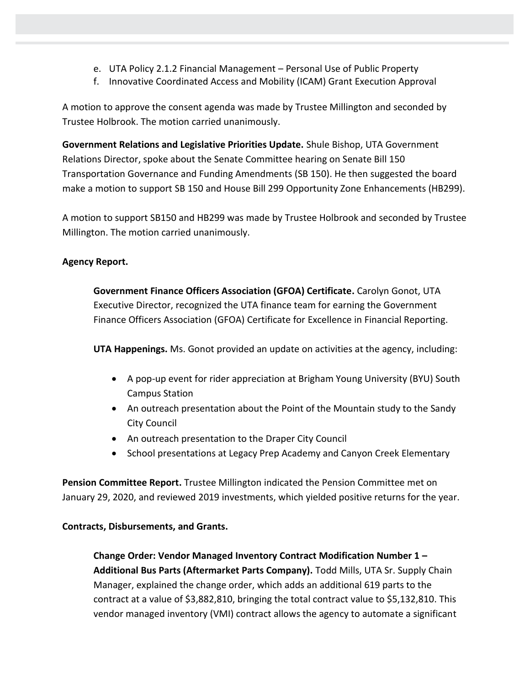- e. UTA Policy 2.1.2 Financial Management Personal Use of Public Property
- f. Innovative Coordinated Access and Mobility (ICAM) Grant Execution Approval

A motion to approve the consent agenda was made by Trustee Millington and seconded by Trustee Holbrook. The motion carried unanimously.

**Government Relations and Legislative Priorities Update.** Shule Bishop, UTA Government Relations Director, spoke about the Senate Committee hearing on Senate Bill 150 Transportation Governance and Funding Amendments (SB 150). He then suggested the board make a motion to support SB 150 and House Bill 299 Opportunity Zone Enhancements (HB299).

A motion to support SB150 and HB299 was made by Trustee Holbrook and seconded by Trustee Millington. The motion carried unanimously.

## **Agency Report.**

**Government Finance Officers Association (GFOA) Certificate.** Carolyn Gonot, UTA Executive Director, recognized the UTA finance team for earning the Government Finance Officers Association (GFOA) Certificate for Excellence in Financial Reporting.

**UTA Happenings.** Ms. Gonot provided an update on activities at the agency, including:

- A pop-up event for rider appreciation at Brigham Young University (BYU) South Campus Station
- An outreach presentation about the Point of the Mountain study to the Sandy City Council
- An outreach presentation to the Draper City Council
- School presentations at Legacy Prep Academy and Canyon Creek Elementary

**Pension Committee Report.** Trustee Millington indicated the Pension Committee met on January 29, 2020, and reviewed 2019 investments, which yielded positive returns for the year.

### **Contracts, Disbursements, and Grants.**

**Change Order: Vendor Managed Inventory Contract Modification Number 1 – Additional Bus Parts (Aftermarket Parts Company).** Todd Mills, UTA Sr. Supply Chain Manager, explained the change order, which adds an additional 619 parts to the contract at a value of \$3,882,810, bringing the total contract value to \$5,132,810. This vendor managed inventory (VMI) contract allows the agency to automate a significant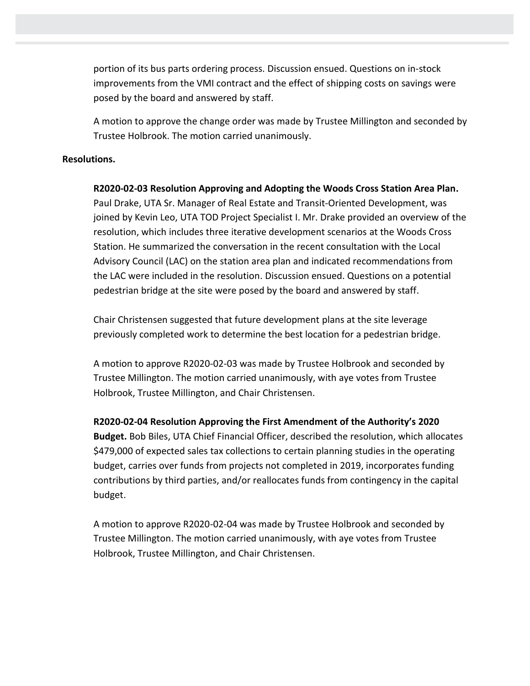portion of its bus parts ordering process. Discussion ensued. Questions on in-stock improvements from the VMI contract and the effect of shipping costs on savings were posed by the board and answered by staff.

A motion to approve the change order was made by Trustee Millington and seconded by Trustee Holbrook. The motion carried unanimously.

#### **Resolutions.**

**R2020-02-03 Resolution Approving and Adopting the Woods Cross Station Area Plan.** Paul Drake, UTA Sr. Manager of Real Estate and Transit-Oriented Development, was joined by Kevin Leo, UTA TOD Project Specialist I. Mr. Drake provided an overview of the resolution, which includes three iterative development scenarios at the Woods Cross Station. He summarized the conversation in the recent consultation with the Local Advisory Council (LAC) on the station area plan and indicated recommendations from the LAC were included in the resolution. Discussion ensued. Questions on a potential pedestrian bridge at the site were posed by the board and answered by staff.

Chair Christensen suggested that future development plans at the site leverage previously completed work to determine the best location for a pedestrian bridge.

A motion to approve R2020-02-03 was made by Trustee Holbrook and seconded by Trustee Millington. The motion carried unanimously, with aye votes from Trustee Holbrook, Trustee Millington, and Chair Christensen.

**R2020-02-04 Resolution Approving the First Amendment of the Authority's 2020** 

**Budget.** Bob Biles, UTA Chief Financial Officer, described the resolution, which allocates \$479,000 of expected sales tax collections to certain planning studies in the operating budget, carries over funds from projects not completed in 2019, incorporates funding contributions by third parties, and/or reallocates funds from contingency in the capital budget.

A motion to approve R2020-02-04 was made by Trustee Holbrook and seconded by Trustee Millington. The motion carried unanimously, with aye votes from Trustee Holbrook, Trustee Millington, and Chair Christensen.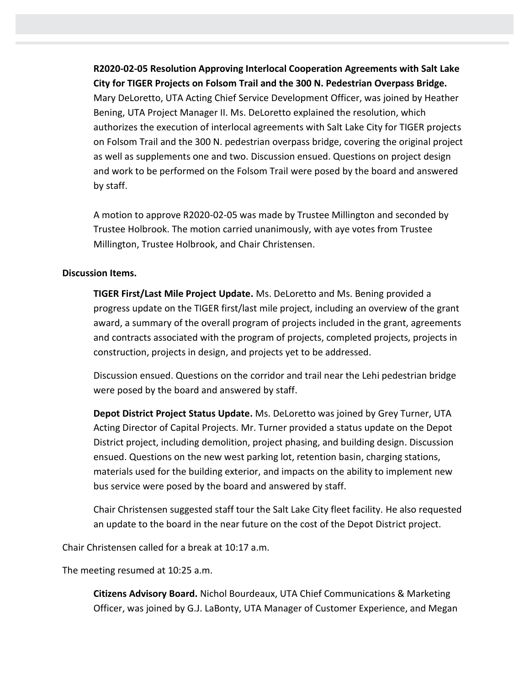**R2020-02-05 Resolution Approving Interlocal Cooperation Agreements with Salt Lake City for TIGER Projects on Folsom Trail and the 300 N. Pedestrian Overpass Bridge.**  Mary DeLoretto, UTA Acting Chief Service Development Officer, was joined by Heather Bening, UTA Project Manager II. Ms. DeLoretto explained the resolution, which authorizes the execution of interlocal agreements with Salt Lake City for TIGER projects on Folsom Trail and the 300 N. pedestrian overpass bridge, covering the original project as well as supplements one and two. Discussion ensued. Questions on project design and work to be performed on the Folsom Trail were posed by the board and answered by staff.

A motion to approve R2020-02-05 was made by Trustee Millington and seconded by Trustee Holbrook. The motion carried unanimously, with aye votes from Trustee Millington, Trustee Holbrook, and Chair Christensen.

#### **Discussion Items.**

**TIGER First/Last Mile Project Update.** Ms. DeLoretto and Ms. Bening provided a progress update on the TIGER first/last mile project, including an overview of the grant award, a summary of the overall program of projects included in the grant, agreements and contracts associated with the program of projects, completed projects, projects in construction, projects in design, and projects yet to be addressed.

Discussion ensued. Questions on the corridor and trail near the Lehi pedestrian bridge were posed by the board and answered by staff.

**Depot District Project Status Update.** Ms. DeLoretto was joined by Grey Turner, UTA Acting Director of Capital Projects. Mr. Turner provided a status update on the Depot District project, including demolition, project phasing, and building design. Discussion ensued. Questions on the new west parking lot, retention basin, charging stations, materials used for the building exterior, and impacts on the ability to implement new bus service were posed by the board and answered by staff.

Chair Christensen suggested staff tour the Salt Lake City fleet facility. He also requested an update to the board in the near future on the cost of the Depot District project.

Chair Christensen called for a break at 10:17 a.m.

The meeting resumed at 10:25 a.m.

**Citizens Advisory Board.** Nichol Bourdeaux, UTA Chief Communications & Marketing Officer, was joined by G.J. LaBonty, UTA Manager of Customer Experience, and Megan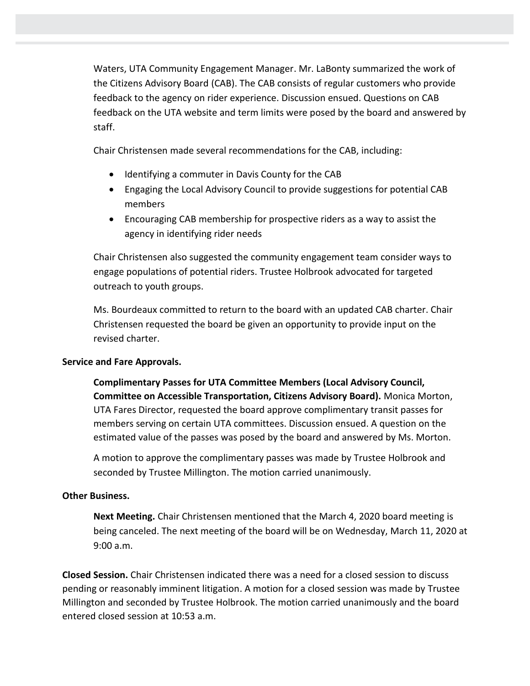Waters, UTA Community Engagement Manager. Mr. LaBonty summarized the work of the Citizens Advisory Board (CAB). The CAB consists of regular customers who provide feedback to the agency on rider experience. Discussion ensued. Questions on CAB feedback on the UTA website and term limits were posed by the board and answered by staff.

Chair Christensen made several recommendations for the CAB, including:

- Identifying a commuter in Davis County for the CAB
- Engaging the Local Advisory Council to provide suggestions for potential CAB members
- Encouraging CAB membership for prospective riders as a way to assist the agency in identifying rider needs

Chair Christensen also suggested the community engagement team consider ways to engage populations of potential riders. Trustee Holbrook advocated for targeted outreach to youth groups.

Ms. Bourdeaux committed to return to the board with an updated CAB charter. Chair Christensen requested the board be given an opportunity to provide input on the revised charter.

### **Service and Fare Approvals.**

**Complimentary Passes for UTA Committee Members (Local Advisory Council, Committee on Accessible Transportation, Citizens Advisory Board).** Monica Morton, UTA Fares Director, requested the board approve complimentary transit passes for members serving on certain UTA committees. Discussion ensued. A question on the estimated value of the passes was posed by the board and answered by Ms. Morton.

A motion to approve the complimentary passes was made by Trustee Holbrook and seconded by Trustee Millington. The motion carried unanimously.

### **Other Business.**

**Next Meeting.** Chair Christensen mentioned that the March 4, 2020 board meeting is being canceled. The next meeting of the board will be on Wednesday, March 11, 2020 at 9:00 a.m.

**Closed Session.** Chair Christensen indicated there was a need for a closed session to discuss pending or reasonably imminent litigation. A motion for a closed session was made by Trustee Millington and seconded by Trustee Holbrook. The motion carried unanimously and the board entered closed session at 10:53 a.m.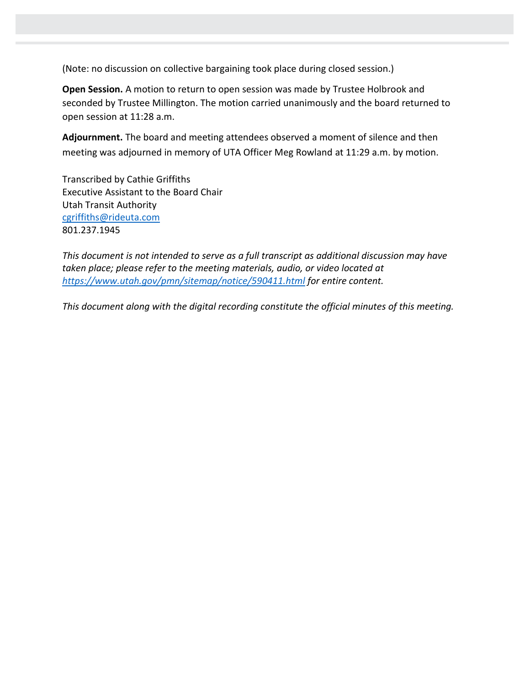(Note: no discussion on collective bargaining took place during closed session.)

**Open Session.** A motion to return to open session was made by Trustee Holbrook and seconded by Trustee Millington. The motion carried unanimously and the board returned to open session at 11:28 a.m.

**Adjournment.** The board and meeting attendees observed a moment of silence and then meeting was adjourned in memory of UTA Officer Meg Rowland at 11:29 a.m. by motion.

Transcribed by Cathie Griffiths Executive Assistant to the Board Chair Utah Transit Authority [cgriffiths@rideuta.com](mailto:cgriffiths@rideuta.com) 801.237.1945

*This document is not intended to serve as a full transcript as additional discussion may have taken place; please refer to the meeting materials, audio, or video located at <https://www.utah.gov/pmn/sitemap/notice/590411.html> for entire content.*

*This document along with the digital recording constitute the official minutes of this meeting.*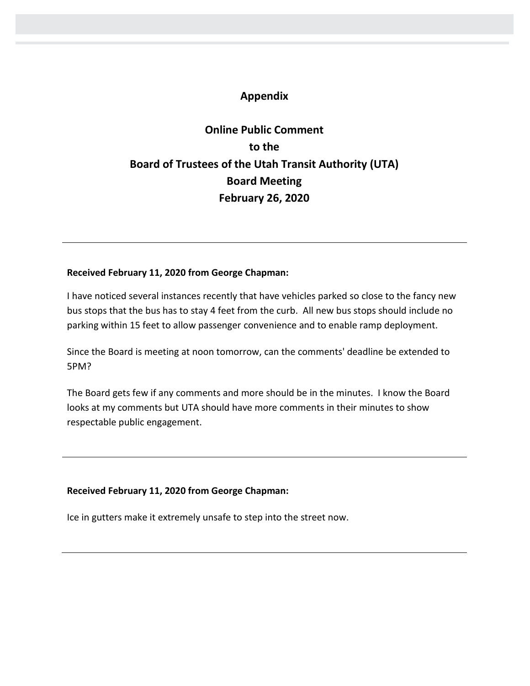# **Appendix**

# **Online Public Comment to the Board of Trustees of the Utah Transit Authority (UTA) Board Meeting February 26, 2020**

#### **Received February 11, 2020 from George Chapman:**

I have noticed several instances recently that have vehicles parked so close to the fancy new bus stops that the bus has to stay 4 feet from the curb. All new bus stops should include no parking within 15 feet to allow passenger convenience and to enable ramp deployment.

Since the Board is meeting at noon tomorrow, can the comments' deadline be extended to 5PM?

The Board gets few if any comments and more should be in the minutes. I know the Board looks at my comments but UTA should have more comments in their minutes to show respectable public engagement.

### **Received February 11, 2020 from George Chapman:**

Ice in gutters make it extremely unsafe to step into the street now.